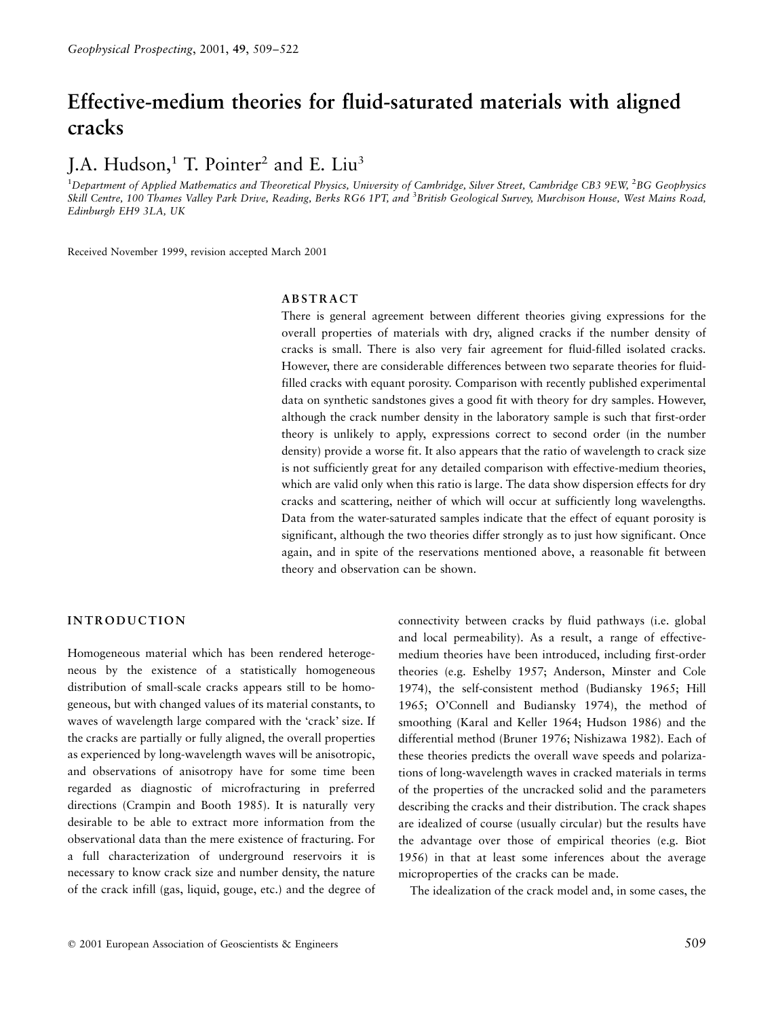# Effective-medium theories for fluid-saturated materials with aligned cracks

# J.A. Hudson, $<sup>1</sup>$  T. Pointer<sup>2</sup> and E. Liu<sup>3</sup></sup>

<sup>1</sup>Department of Applied Mathematics and Theoretical Physics, University of Cambridge, Silver Street, Cambridge CB3 9EW, <sup>2</sup>BG Geophysics Skill Centre, 100 Thames Valley Park Drive, Reading, Berks RG6 1PT, and <sup>3</sup>British Geological Survey, Murchison House, West Mains Road, Edinburgh EH9 3LA, UK

Received November 1999, revision accepted March 2001

#### ABSTRACT

There is general agreement between different theories giving expressions for the overall properties of materials with dry, aligned cracks if the number density of cracks is small. There is also very fair agreement for fluid-filled isolated cracks. However, there are considerable differences between two separate theories for fluidfilled cracks with equant porosity. Comparison with recently published experimental data on synthetic sandstones gives a good fit with theory for dry samples. However, although the crack number density in the laboratory sample is such that first-order theory is unlikely to apply, expressions correct to second order (in the number density) provide a worse fit. It also appears that the ratio of wavelength to crack size is not sufficiently great for any detailed comparison with effective-medium theories, which are valid only when this ratio is large. The data show dispersion effects for dry cracks and scattering, neither of which will occur at sufficiently long wavelengths. Data from the water-saturated samples indicate that the effect of equant porosity is significant, although the two theories differ strongly as to just how significant. Once again, and in spite of the reservations mentioned above, a reasonable fit between theory and observation can be shown.

# INTRODUCTION

Homogeneous material which has been rendered heterogeneous by the existence of a statistically homogeneous distribution of small-scale cracks appears still to be homogeneous, but with changed values of its material constants, to waves of wavelength large compared with the 'crack' size. If the cracks are partially or fully aligned, the overall properties as experienced by long-wavelength waves will be anisotropic, and observations of anisotropy have for some time been regarded as diagnostic of microfracturing in preferred directions (Crampin and Booth 1985). It is naturally very desirable to be able to extract more information from the observational data than the mere existence of fracturing. For a full characterization of underground reservoirs it is necessary to know crack size and number density, the nature of the crack infill (gas, liquid, gouge, etc.) and the degree of connectivity between cracks by fluid pathways (i.e. global and local permeability). As a result, a range of effectivemedium theories have been introduced, including first-order theories (e.g. Eshelby 1957; Anderson, Minster and Cole 1974), the self-consistent method (Budiansky 1965; Hill 1965; O'Connell and Budiansky 1974), the method of smoothing (Karal and Keller 1964; Hudson 1986) and the differential method (Bruner 1976; Nishizawa 1982). Each of these theories predicts the overall wave speeds and polarizations of long-wavelength waves in cracked materials in terms of the properties of the uncracked solid and the parameters describing the cracks and their distribution. The crack shapes are idealized of course (usually circular) but the results have the advantage over those of empirical theories (e.g. Biot 1956) in that at least some inferences about the average microproperties of the cracks can be made.

The idealization of the crack model and, in some cases, the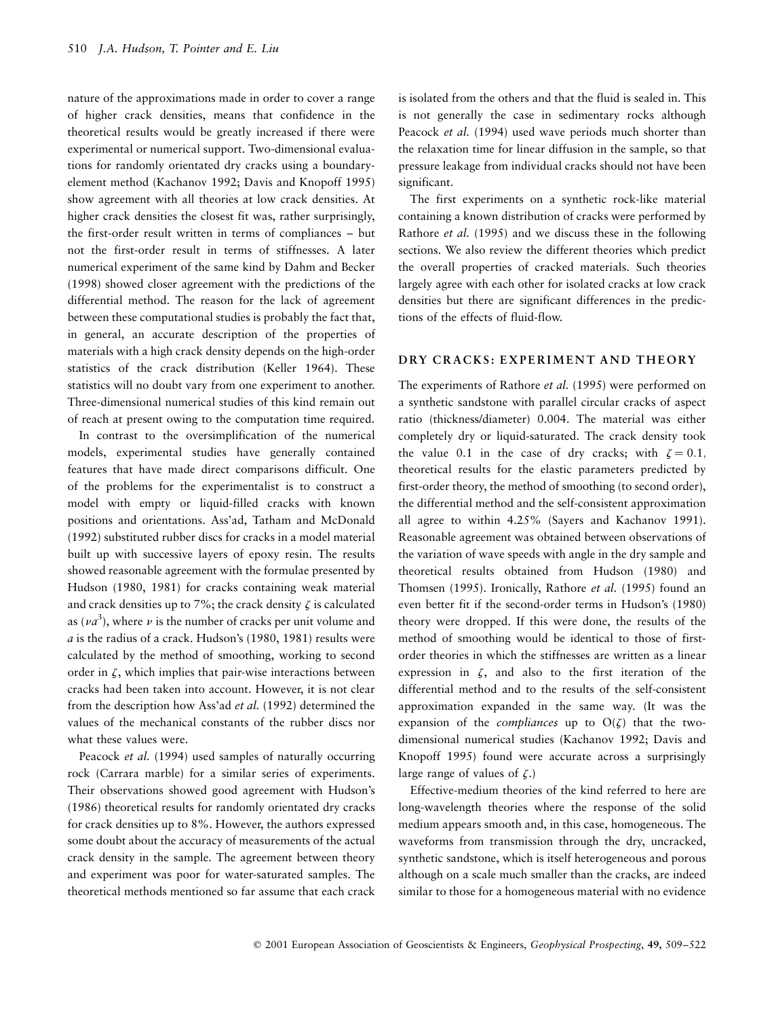nature of the approximations made in order to cover a range of higher crack densities, means that confidence in the theoretical results would be greatly increased if there were experimental or numerical support. Two-dimensional evaluations for randomly orientated dry cracks using a boundaryelement method (Kachanov 1992; Davis and Knopoff 1995) show agreement with all theories at low crack densities. At higher crack densities the closest fit was, rather surprisingly, the first-order result written in terms of compliances - but not the first-order result in terms of stiffnesses. A later numerical experiment of the same kind by Dahm and Becker (1998) showed closer agreement with the predictions of the differential method. The reason for the lack of agreement between these computational studies is probably the fact that, in general, an accurate description of the properties of materials with a high crack density depends on the high-order statistics of the crack distribution (Keller 1964). These statistics will no doubt vary from one experiment to another. Three-dimensional numerical studies of this kind remain out of reach at present owing to the computation time required.

In contrast to the oversimplification of the numerical models, experimental studies have generally contained features that have made direct comparisons difficult. One of the problems for the experimentalist is to construct a model with empty or liquid-filled cracks with known positions and orientations. Ass'ad, Tatham and McDonald (1992) substituted rubber discs for cracks in a model material built up with successive layers of epoxy resin. The results showed reasonable agreement with the formulae presented by Hudson (1980, 1981) for cracks containing weak material and crack densities up to 7%; the crack density  $\zeta$  is calculated as ( $va^3$ ), where  $v$  is the number of cracks per unit volume and  $a$  is the radius of a crack. Hudson's (1980, 1981) results were calculated by the method of smoothing, working to second order in  $\zeta$ , which implies that pair-wise interactions between cracks had been taken into account. However, it is not clear from the description how Ass'ad et al. (1992) determined the values of the mechanical constants of the rubber discs nor what these values were.

Peacock et al. (1994) used samples of naturally occurring rock (Carrara marble) for a similar series of experiments. Their observations showed good agreement with Hudson's (1986) theoretical results for randomly orientated dry cracks for crack densities up to 8%. However, the authors expressed some doubt about the accuracy of measurements of the actual crack density in the sample. The agreement between theory and experiment was poor for water-saturated samples. The theoretical methods mentioned so far assume that each crack is isolated from the others and that the fluid is sealed in. This is not generally the case in sedimentary rocks although Peacock *et al.* (1994) used wave periods much shorter than the relaxation time for linear diffusion in the sample, so that pressure leakage from individual cracks should not have been significant.

The first experiments on a synthetic rock-like material containing a known distribution of cracks were performed by Rathore et al. (1995) and we discuss these in the following sections. We also review the different theories which predict the overall properties of cracked materials. Such theories largely agree with each other for isolated cracks at low crack densities but there are significant differences in the predictions of the effects of fluid-flow.

# DRY CRACKS: EXPERIMENT AND THEORY

The experiments of Rathore et al. (1995) were performed on a synthetic sandstone with parallel circular cracks of aspect ratio (thickness/diameter) 0.004. The material was either completely dry or liquid-saturated. The crack density took the value 0.1 in the case of dry cracks; with  $\zeta = 0.1$ , theoretical results for the elastic parameters predicted by first-order theory, the method of smoothing (to second order), the differential method and the self-consistent approximation all agree to within 4.25% (Sayers and Kachanov 1991). Reasonable agreement was obtained between observations of the variation of wave speeds with angle in the dry sample and theoretical results obtained from Hudson (1980) and Thomsen (1995). Ironically, Rathore et al. (1995) found an even better fit if the second-order terms in Hudson's (1980) theory were dropped. If this were done, the results of the method of smoothing would be identical to those of firstorder theories in which the stiffnesses are written as a linear expression in  $\zeta$ , and also to the first iteration of the differential method and to the results of the self-consistent approximation expanded in the same way. (It was the expansion of the *compliances* up to  $O(\zeta)$  that the twodimensional numerical studies (Kachanov 1992; Davis and Knopoff 1995) found were accurate across a surprisingly large range of values of  $\zeta$ .)

Effective-medium theories of the kind referred to here are long-wavelength theories where the response of the solid medium appears smooth and, in this case, homogeneous. The waveforms from transmission through the dry, uncracked, synthetic sandstone, which is itself heterogeneous and porous although on a scale much smaller than the cracks, are indeed similar to those for a homogeneous material with no evidence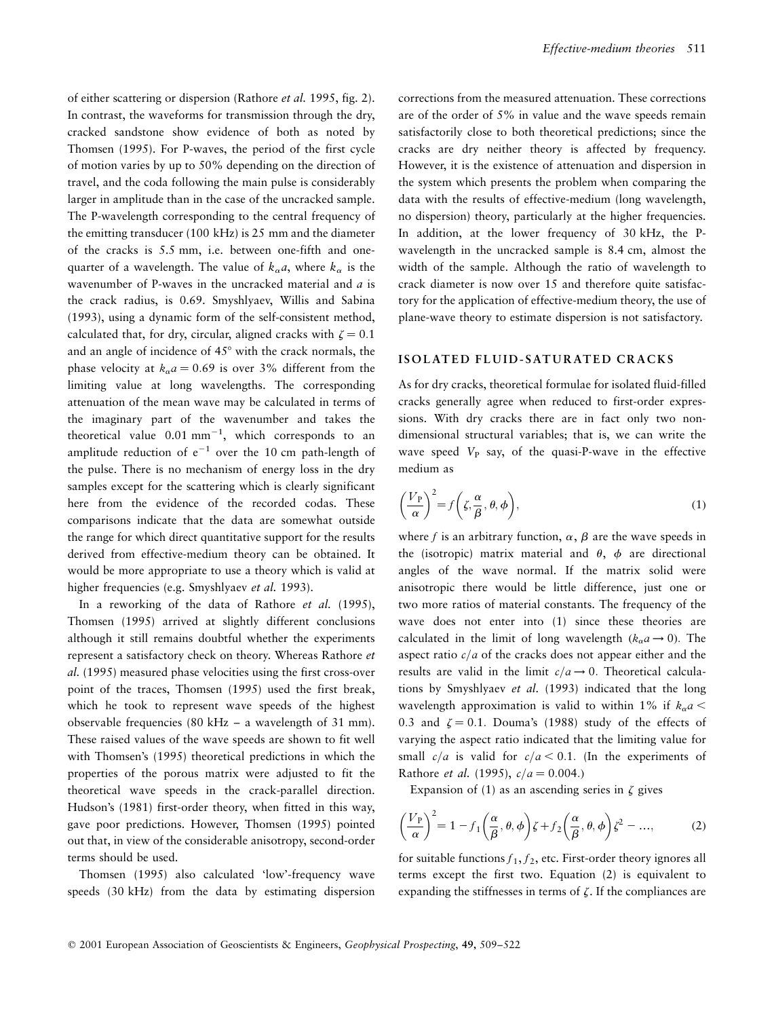of either scattering or dispersion (Rathore et al. 1995, fig. 2). In contrast, the waveforms for transmission through the dry, cracked sandstone show evidence of both as noted by Thomsen (1995). For P-waves, the period of the first cycle of motion varies by up to 50% depending on the direction of travel, and the coda following the main pulse is considerably larger in amplitude than in the case of the uncracked sample. The P-wavelength corresponding to the central frequency of the emitting transducer (100 kHz) is 25 mm and the diameter of the cracks is 5.5 mm, i.e. between one-fifth and onequarter of a wavelength. The value of  $k_{\alpha}a$ , where  $k_{\alpha}$  is the wavenumber of P-waves in the uncracked material and a is the crack radius, is 0.69. Smyshlyaev, Willis and Sabina (1993), using a dynamic form of the self-consistent method, calculated that, for dry, circular, aligned cracks with  $\zeta = 0.1$ and an angle of incidence of 45° with the crack normals, the phase velocity at  $k_{\alpha}a = 0.69$  is over 3% different from the limiting value at long wavelengths. The corresponding attenuation of the mean wave may be calculated in terms of the imaginary part of the wavenumber and takes the theoretical value  $0.01 \text{ mm}^{-1}$ , which corresponds to an amplitude reduction of  $e^{-1}$  over the 10 cm path-length of the pulse. There is no mechanism of energy loss in the dry samples except for the scattering which is clearly significant here from the evidence of the recorded codas. These comparisons indicate that the data are somewhat outside the range for which direct quantitative support for the results derived from effective-medium theory can be obtained. It would be more appropriate to use a theory which is valid at higher frequencies (e.g. Smyshlyaev et al. 1993).

In a reworking of the data of Rathore et al. (1995), Thomsen (1995) arrived at slightly different conclusions although it still remains doubtful whether the experiments represent a satisfactory check on theory. Whereas Rathore et al. (1995) measured phase velocities using the first cross-over point of the traces, Thomsen (1995) used the first break, which he took to represent wave speeds of the highest observable frequencies (80 kHz  $-$  a wavelength of 31 mm). These raised values of the wave speeds are shown to fit well with Thomsen's (1995) theoretical predictions in which the properties of the porous matrix were adjusted to fit the theoretical wave speeds in the crack-parallel direction. Hudson's (1981) first-order theory, when fitted in this way, gave poor predictions. However, Thomsen (1995) pointed out that, in view of the considerable anisotropy, second-order terms should be used.

Thomsen (1995) also calculated `low'-frequency wave speeds (30 kHz) from the data by estimating dispersion corrections from the measured attenuation. These corrections are of the order of 5% in value and the wave speeds remain satisfactorily close to both theoretical predictions; since the cracks are dry neither theory is affected by frequency. However, it is the existence of attenuation and dispersion in the system which presents the problem when comparing the data with the results of effective-medium (long wavelength, no dispersion) theory, particularly at the higher frequencies. In addition, at the lower frequency of 30 kHz, the Pwavelength in the uncracked sample is 8.4 cm, almost the width of the sample. Although the ratio of wavelength to crack diameter is now over 15 and therefore quite satisfactory for the application of effective-medium theory, the use of plane-wave theory to estimate dispersion is not satisfactory.

#### ISOLATED FLUID-SATURATED CRACKS

As for dry cracks, theoretical formulae for isolated fluid-filled cracks generally agree when reduced to first-order expressions. With dry cracks there are in fact only two nondimensional structural variables; that is, we can write the wave speed  $V_P$  say, of the quasi-P-wave in the effective medium as

$$
\left(\frac{V_{\rm P}}{\alpha}\right)^2 = f\left(\zeta, \frac{\alpha}{\beta}, \theta, \phi\right),\tag{1}
$$

where f is an arbitrary function,  $\alpha$ ,  $\beta$  are the wave speeds in the (isotropic) matrix material and  $\theta$ ,  $\phi$  are directional angles of the wave normal. If the matrix solid were anisotropic there would be little difference, just one or two more ratios of material constants. The frequency of the wave does not enter into (1) since these theories are calculated in the limit of long wavelength  $(k_{\alpha}a \rightarrow 0)$ . The aspect ratio  $c/a$  of the cracks does not appear either and the results are valid in the limit  $c/a \rightarrow 0$ . Theoretical calculations by Smyshlyaev et al. (1993) indicated that the long wavelength approximation is valid to within 1% if  $k_{\alpha}a$  < 0.3 and  $\zeta = 0.1$ . Douma's (1988) study of the effects of varying the aspect ratio indicated that the limiting value for small  $c/a$  is valid for  $c/a < 0.1$ . (In the experiments of Rathore *et al.* (1995),  $c/a = 0.004$ .)

Expansion of (1) as an ascending series in  $\zeta$  gives

$$
\left(\frac{V_{\rm P}}{\alpha}\right)^2 = 1 - f_1\left(\frac{\alpha}{\beta}, \theta, \phi\right)\zeta + f_2\left(\frac{\alpha}{\beta}, \theta, \phi\right)\zeta^2 - \dots,
$$
 (2)

for suitable functions  $f_1, f_2$ , etc. First-order theory ignores all terms except the first two. Equation (2) is equivalent to expanding the stiffnesses in terms of  $\zeta$ . If the compliances are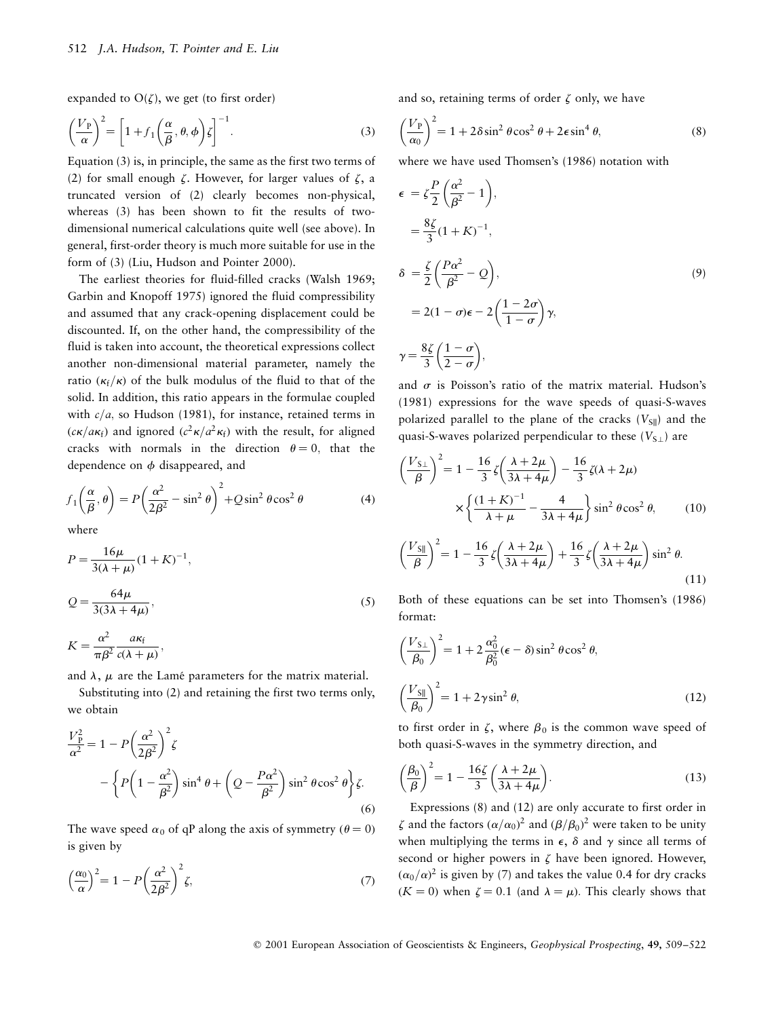expanded to  $O(\zeta)$ , we get (to first order)

$$
\left(\frac{V_{\rm P}}{\alpha}\right)^2 = \left[1 + f_1\left(\frac{\alpha}{\beta}, \theta, \phi\right)\zeta\right]^{-1}.\tag{3}
$$

Equation (3) is, in principle, the same as the first two terms of (2) for small enough  $\zeta$ . However, for larger values of  $\zeta$ , a truncated version of (2) clearly becomes non-physical, whereas (3) has been shown to fit the results of twodimensional numerical calculations quite well (see above). In general, first-order theory is much more suitable for use in the form of (3) (Liu, Hudson and Pointer 2000).

The earliest theories for fluid-filled cracks (Walsh 1969; Garbin and Knopoff 1975) ignored the fluid compressibility and assumed that any crack-opening displacement could be discounted. If, on the other hand, the compressibility of the fluid is taken into account, the theoretical expressions collect another non-dimensional material parameter, namely the ratio  $(\kappa_f/\kappa)$  of the bulk modulus of the fluid to that of the solid. In addition, this ratio appears in the formulae coupled with  $c/a$ , so Hudson (1981), for instance, retained terms in  $(c\kappa/a\kappa_f)$  and ignored  $(c^2\kappa/a^2\kappa_f)$  with the result, for aligned cracks with normals in the direction  $\theta = 0$ , that the dependence on  $\phi$  disappeared, and

$$
f_1\left(\frac{\alpha}{\beta}, \theta\right) = P\left(\frac{\alpha^2}{2\beta^2} - \sin^2\theta\right)^2 + Q\sin^2\theta\cos^2\theta\tag{4}
$$

where

$$
P = \frac{16\mu}{3(\lambda + \mu)} (1 + K)^{-1},
$$
  
\n
$$
Q = \frac{64\mu}{3(3\lambda + 4\mu)},
$$
\n(5)

$$
K=\frac{\alpha^2}{\pi\beta^2}\frac{a\kappa_{\rm f}}{c(\lambda+\mu)},
$$

and  $\lambda$ ,  $\mu$  are the Lamé parameters for the matrix material.

Substituting into (2) and retaining the first two terms only, we obtain

$$
\frac{V_{\rm p}^2}{\alpha^2} = 1 - P\left(\frac{\alpha^2}{2\beta^2}\right)^2 \zeta
$$
  
 
$$
- \left\{ P\left(1 - \frac{\alpha^2}{\beta^2}\right) \sin^4 \theta + \left(Q - \frac{P\alpha^2}{\beta^2}\right) \sin^2 \theta \cos^2 \theta \right\} \zeta.
$$
  
(6)

The wave speed  $\alpha_0$  of qP along the axis of symmetry ( $\theta = 0$ ) is given by

$$
\left(\frac{\alpha_0}{\alpha}\right)^2 = 1 - P\left(\frac{\alpha^2}{2\beta^2}\right)^2 \zeta,\tag{7}
$$

and so, retaining terms of order  $\zeta$  only, we have

$$
\left(\frac{V_{\rm P}}{\alpha_0}\right)^2 = 1 + 2\delta \sin^2 \theta \cos^2 \theta + 2\epsilon \sin^4 \theta,\tag{8}
$$

where we have used Thomsen's (1986) notation with

$$
\epsilon = \zeta \frac{P}{2} \left( \frac{\alpha^2}{\beta^2} - 1 \right),
$$
  
\n
$$
= \frac{8\zeta}{3} (1 + K)^{-1},
$$
  
\n
$$
\delta = \frac{\zeta}{2} \left( \frac{P\alpha^2}{\beta^2} - Q \right),
$$
  
\n
$$
= 2(1 - \sigma)\epsilon - 2 \left( \frac{1 - 2\sigma}{1 - \sigma} \right) \gamma,
$$
  
\n
$$
\gamma = \frac{8\zeta}{3} \left( \frac{1 - \sigma}{2 - \sigma} \right),
$$
  
\n(9)

and  $\sigma$  is Poisson's ratio of the matrix material. Hudson's (1981) expressions for the wave speeds of quasi-S-waves polarized parallel to the plane of the cracks  $(V_{\text{SI}})$  and the quasi-S-waves polarized perpendicular to these  $(V_{S\perp})$  are

$$
\left(\frac{V_{S\perp}}{\beta}\right)^2 = 1 - \frac{16}{3}\zeta\left(\frac{\lambda + 2\mu}{3\lambda + 4\mu}\right) - \frac{16}{3}\zeta(\lambda + 2\mu)
$$

$$
\times \left\{\frac{(1 + K)^{-1}}{\lambda + \mu} - \frac{4}{3\lambda + 4\mu}\right\} \sin^2\theta \cos^2\theta, \qquad (10)
$$

$$
\left(\frac{V_{\text{SI}}}{\beta}\right)^2 = 1 - \frac{16}{3}\zeta\left(\frac{\lambda + 2\mu}{3\lambda + 4\mu}\right) + \frac{16}{3}\zeta\left(\frac{\lambda + 2\mu}{3\lambda + 4\mu}\right)\sin^2\theta. \tag{11}
$$

Both of these equations can be set into Thomsen's (1986) format:

$$
\left(\frac{V_{\text{S}\perp}}{\beta_0}\right)^2 = 1 + 2\frac{\alpha_0^2}{\beta_0^2} (\epsilon - \delta) \sin^2 \theta \cos^2 \theta,
$$
  

$$
\left(\frac{V_{\text{S}\parallel}}{\beta_0}\right)^2 = 1 + 2\gamma \sin^2 \theta,
$$
 (12)

to first order in  $\zeta$ , where  $\beta_0$  is the common wave speed of both quasi-S-waves in the symmetry direction, and

$$
\left(\frac{\beta_0}{\beta}\right)^2 = 1 - \frac{16\zeta}{3} \left(\frac{\lambda + 2\mu}{3\lambda + 4\mu}\right).
$$
\n(13)

Expressions (8) and (12) are only accurate to first order in  $\zeta$  and the factors  $(\alpha/\alpha_0)^2$  and  $(\beta/\beta_0)^2$  were taken to be unity when multiplying the terms in  $\epsilon$ ,  $\delta$  and  $\gamma$  since all terms of second or higher powers in  $\zeta$  have been ignored. However,  $(\alpha_0/\alpha)^2$  is given by (7) and takes the value 0.4 for dry cracks  $(K = 0)$  when  $\zeta = 0.1$  (and  $\lambda = \mu$ ). This clearly shows that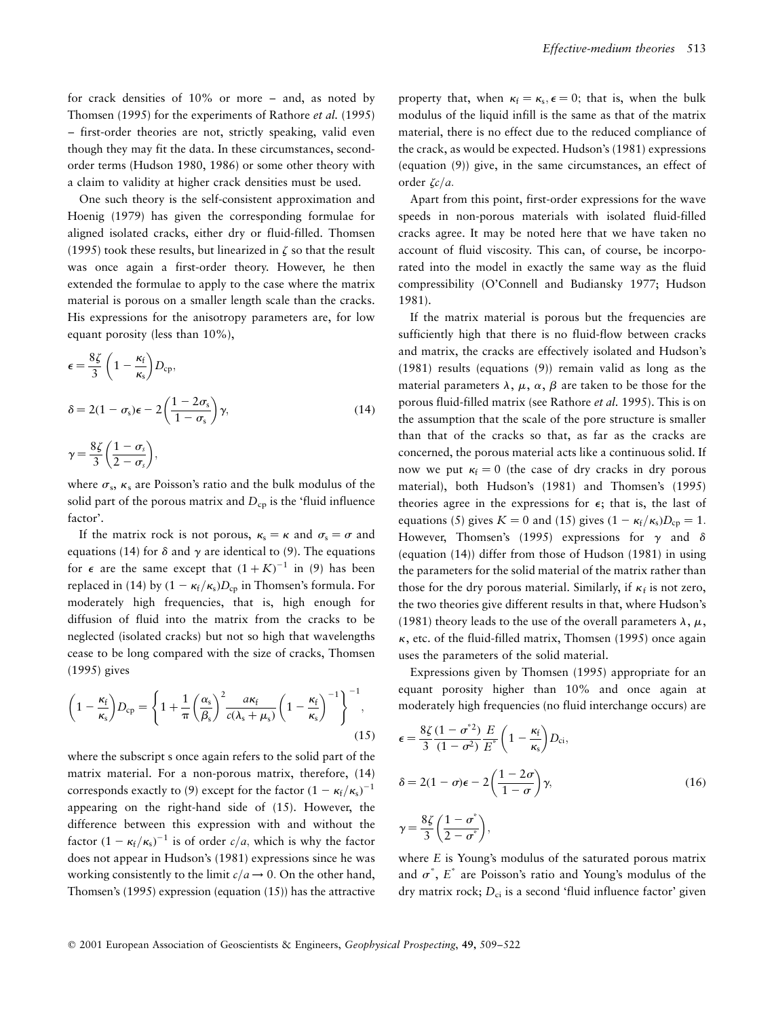for crack densities of  $10\%$  or more  $-$  and, as noted by Thomsen (1995) for the experiments of Rathore et al. (1995) ± first-order theories are not, strictly speaking, valid even though they may fit the data. In these circumstances, secondorder terms (Hudson 1980, 1986) or some other theory with a claim to validity at higher crack densities must be used.

One such theory is the self-consistent approximation and Hoenig (1979) has given the corresponding formulae for aligned isolated cracks, either dry or fluid-filled. Thomsen (1995) took these results, but linearized in  $\zeta$  so that the result was once again a first-order theory. However, he then extended the formulae to apply to the case where the matrix material is porous on a smaller length scale than the cracks. His expressions for the anisotropy parameters are, for low equant porosity (less than 10%),

$$
\epsilon = \frac{8\zeta}{3} \left( 1 - \frac{\kappa_f}{\kappa_s} \right) D_{cp},
$$
\n
$$
\delta = 2(1 - \sigma_s)\epsilon - 2\left( \frac{1 - 2\sigma_s}{1 - \sigma_s} \right) \gamma,
$$
\n
$$
\gamma = \frac{8\zeta}{3} \left( \frac{1 - \sigma_s}{2 - \sigma_s} \right),
$$
\n(14)

where  $\sigma_s$ ,  $\kappa_s$  are Poisson's ratio and the bulk modulus of the solid part of the porous matrix and  $D_{cp}$  is the 'fluid influence factor'.

If the matrix rock is not porous,  $\kappa_s = \kappa$  and  $\sigma_s = \sigma$  and equations (14) for  $\delta$  and  $\gamma$  are identical to (9). The equations for  $\epsilon$  are the same except that  $(1 + K)^{-1}$  in (9) has been replaced in (14) by  $(1 - \kappa_f/\kappa_s)D_{cp}$  in Thomsen's formula. For moderately high frequencies, that is, high enough for diffusion of fluid into the matrix from the cracks to be neglected (isolated cracks) but not so high that wavelengths cease to be long compared with the size of cracks, Thomsen (1995) gives

$$
\left(1 - \frac{\kappa_{\rm f}}{\kappa_{\rm s}}\right)D_{\rm cp} = \left\{1 + \frac{1}{\pi} \left(\frac{\alpha_{\rm s}}{\beta_{\rm s}}\right)^2 \frac{a\kappa_{\rm f}}{c(\lambda_{\rm s} + \mu_{\rm s})} \left(1 - \frac{\kappa_{\rm f}}{\kappa_{\rm s}}\right)^{-1}\right\}^{-1},\tag{15}
$$

where the subscript s once again refers to the solid part of the matrix material. For a non-porous matrix, therefore, (14) corresponds exactly to (9) except for the factor  $(1 - \kappa_f/\kappa_s)^{-1}$ appearing on the right-hand side of (15). However, the difference between this expression with and without the factor  $(1 - \kappa_f/\kappa_s)^{-1}$  is of order  $c/a$ , which is why the factor does not appear in Hudson's (1981) expressions since he was working consistently to the limit  $c/a \rightarrow 0$ . On the other hand, Thomsen's (1995) expression (equation (15)) has the attractive property that, when  $\kappa_f = \kappa_s$ ,  $\epsilon = 0$ ; that is, when the bulk modulus of the liquid infill is the same as that of the matrix material, there is no effect due to the reduced compliance of the crack, as would be expected. Hudson's (1981) expressions (equation (9)) give, in the same circumstances, an effect of order  $\zeta c/a$ .

Apart from this point, first-order expressions for the wave speeds in non-porous materials with isolated fluid-filled cracks agree. It may be noted here that we have taken no account of fluid viscosity. This can, of course, be incorporated into the model in exactly the same way as the fluid compressibility (O'Connell and Budiansky 1977; Hudson 1981).

If the matrix material is porous but the frequencies are sufficiently high that there is no fluid-flow between cracks and matrix, the cracks are effectively isolated and Hudson's (1981) results (equations (9)) remain valid as long as the material parameters  $\lambda$ ,  $\mu$ ,  $\alpha$ ,  $\beta$  are taken to be those for the porous fluid-filled matrix (see Rathore et al. 1995). This is on the assumption that the scale of the pore structure is smaller than that of the cracks so that, as far as the cracks are concerned, the porous material acts like a continuous solid. If now we put  $\kappa_f = 0$  (the case of dry cracks in dry porous material), both Hudson's (1981) and Thomsen's (1995) theories agree in the expressions for  $\epsilon$ ; that is, the last of equations (5) gives  $K = 0$  and (15) gives  $(1 - \kappa_f/\kappa_s)D_{cp} = 1$ . However, Thomsen's (1995) expressions for  $\gamma$  and  $\delta$ (equation (14)) differ from those of Hudson (1981) in using the parameters for the solid material of the matrix rather than those for the dry porous material. Similarly, if  $\kappa_f$  is not zero, the two theories give different results in that, where Hudson's (1981) theory leads to the use of the overall parameters  $\lambda$ ,  $\mu$ ,  $\kappa$ , etc. of the fluid-filled matrix, Thomsen (1995) once again uses the parameters of the solid material.

Expressions given by Thomsen (1995) appropriate for an equant porosity higher than 10% and once again at moderately high frequencies (no fluid interchange occurs) are

$$
\epsilon = \frac{8\zeta}{3} \frac{(1 - \sigma^2)}{(1 - \sigma^2)} \frac{E}{E^*} \left( 1 - \frac{\kappa_f}{\kappa_s} \right) D_{\text{ci}},
$$
  

$$
\delta = 2(1 - \sigma)\epsilon - 2 \left( \frac{1 - 2\sigma}{1 - \sigma} \right) \gamma,
$$
  

$$
\gamma = \frac{8\zeta}{3} \left( \frac{1 - \sigma^*}{2 - \sigma^*} \right),
$$
 (16)

where E is Young's modulus of the saturated porous matrix and  $\sigma^*$ ,  $E^*$  are Poisson's ratio and Young's modulus of the dry matrix rock;  $D_{ci}$  is a second 'fluid influence factor' given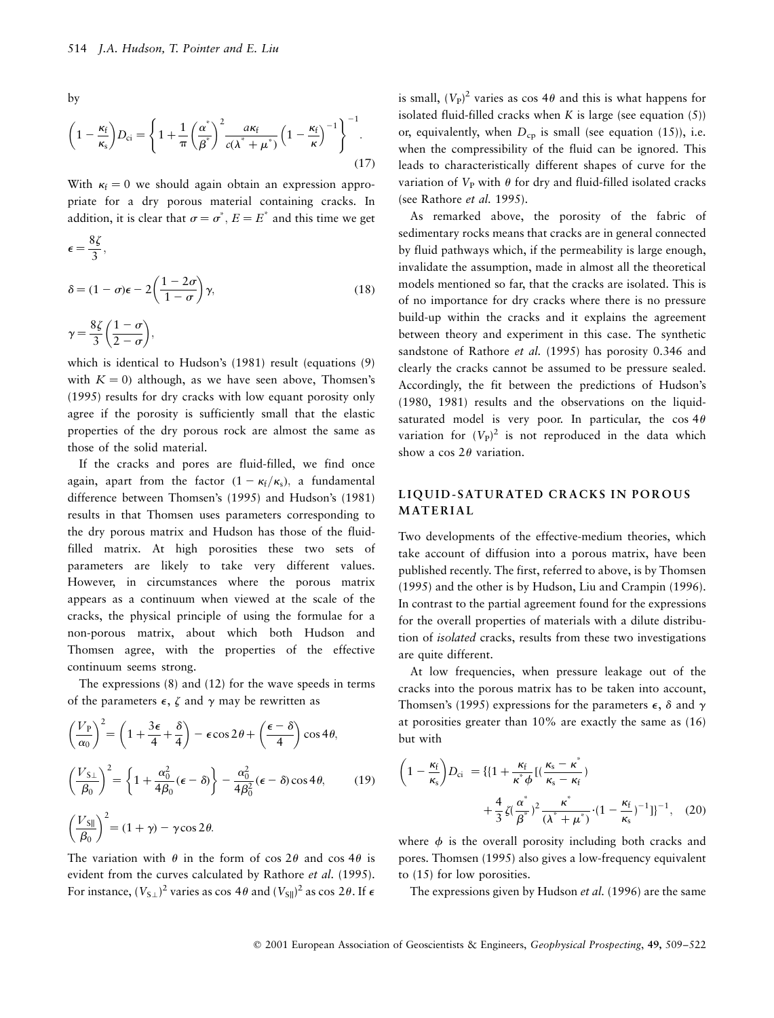by

$$
\left(1 - \frac{\kappa_{\rm f}}{\kappa_{\rm s}}\right)D_{\rm ci} = \left\{1 + \frac{1}{\pi} \left(\frac{\alpha^*}{\beta^*}\right)^2 \frac{a\kappa_{\rm f}}{c(\lambda^* + \mu^*)} \left(1 - \frac{\kappa_{\rm f}}{\kappa}\right)^{-1}\right\}^{-1}.
$$
\n(17)

With  $\kappa_f = 0$  we should again obtain an expression appropriate for a dry porous material containing cracks. In addition, it is clear that  $\sigma = \sigma^*$ ,  $E = E^*$  and this time we get

$$
\epsilon = \frac{8\zeta}{3},
$$
  

$$
\delta = (1 - \sigma)\epsilon - 2\left(\frac{1 - 2\sigma}{1 - \sigma}\right)\gamma,
$$
 (18)

$$
\gamma = \frac{8\zeta}{3} \left( \frac{1-\sigma}{2-\sigma} \right),
$$

which is identical to Hudson's (1981) result (equations (9) with  $K = 0$ ) although, as we have seen above, Thomsen's (1995) results for dry cracks with low equant porosity only agree if the porosity is sufficiently small that the elastic properties of the dry porous rock are almost the same as those of the solid material.

If the cracks and pores are fluid-filled, we find once again, apart from the factor  $(1 - \kappa_f/\kappa_s)$ , a fundamental difference between Thomsen's (1995) and Hudson's (1981) results in that Thomsen uses parameters corresponding to the dry porous matrix and Hudson has those of the fluidfilled matrix. At high porosities these two sets of parameters are likely to take very different values. However, in circumstances where the porous matrix appears as a continuum when viewed at the scale of the cracks, the physical principle of using the formulae for a non-porous matrix, about which both Hudson and Thomsen agree, with the properties of the effective continuum seems strong.

The expressions (8) and (12) for the wave speeds in terms of the parameters  $\epsilon$ ,  $\zeta$  and  $\gamma$  may be rewritten as

$$
\left(\frac{V_{\rm p}}{\alpha_0}\right)^2 = \left(1 + \frac{3\epsilon}{4} + \frac{\delta}{4}\right) - \epsilon \cos 2\theta + \left(\frac{\epsilon - \delta}{4}\right) \cos 4\theta,
$$
  

$$
\left(\frac{V_{\rm S\perp}}{\beta_0}\right)^2 = \left\{1 + \frac{\alpha_0^2}{4\beta_0}(\epsilon - \delta)\right\} - \frac{\alpha_0^2}{4\beta_0^2}(\epsilon - \delta) \cos 4\theta,
$$
 (19)  

$$
\left(\frac{V_{\rm SI}}{\beta_0}\right)^2 = (1 + \gamma) - \gamma \cos 2\theta.
$$

The variation with  $\theta$  in the form of cos 2 $\theta$  and cos 4 $\theta$  is evident from the curves calculated by Rathore et al. (1995). For instance,  $(V_{S\perp})^2$  varies as cos 4 $\theta$  and  $(V_{S\parallel})^2$  as cos 2 $\theta$ . If  $\epsilon$ 

is small,  $(V_P)^2$  varies as cos 4 $\theta$  and this is what happens for isolated fluid-filled cracks when  $K$  is large (see equation  $(5)$ ) or, equivalently, when  $D_{cp}$  is small (see equation (15)), i.e. when the compressibility of the fluid can be ignored. This leads to characteristically different shapes of curve for the variation of  $V_P$  with  $\theta$  for dry and fluid-filled isolated cracks (see Rathore et al. 1995).

As remarked above, the porosity of the fabric of sedimentary rocks means that cracks are in general connected by fluid pathways which, if the permeability is large enough, invalidate the assumption, made in almost all the theoretical models mentioned so far, that the cracks are isolated. This is of no importance for dry cracks where there is no pressure build-up within the cracks and it explains the agreement between theory and experiment in this case. The synthetic sandstone of Rathore *et al.* (1995) has porosity 0.346 and clearly the cracks cannot be assumed to be pressure sealed. Accordingly, the fit between the predictions of Hudson's (1980, 1981) results and the observations on the liquidsaturated model is very poor. In particular, the  $\cos 4\theta$ variation for  $(V_P)^2$  is not reproduced in the data which show a cos  $2\theta$  variation.

# LIQUID-SATURATED CRACKS IN POROUS **MATERIAL**

Two developments of the effective-medium theories, which take account of diffusion into a porous matrix, have been published recently. The first, referred to above, is by Thomsen (1995) and the other is by Hudson, Liu and Crampin (1996). In contrast to the partial agreement found for the expressions for the overall properties of materials with a dilute distribution of isolated cracks, results from these two investigations are quite different.

At low frequencies, when pressure leakage out of the cracks into the porous matrix has to be taken into account, Thomsen's (1995) expressions for the parameters  $\epsilon$ ,  $\delta$  and  $\gamma$ at porosities greater than 10% are exactly the same as (16) but with

$$
\left(1 - \frac{\kappa_f}{\kappa_s}\right)D_{ci} = \left\{\left[1 + \frac{\kappa_f}{\kappa^* \phi}\left[(\frac{\kappa_s - \kappa^*}{\kappa_s - \kappa_f}\right)\right]\right\} + \frac{4}{3}\zeta(\frac{\alpha^*}{\beta^*})^2\frac{\kappa^*}{(\lambda^* + \mu^*)} \cdot (1 - \frac{\kappa_f}{\kappa_s})^{-1}]^{-1},\tag{20}
$$

where  $\phi$  is the overall porosity including both cracks and pores. Thomsen (1995) also gives a low-frequency equivalent to (15) for low porosities.

The expressions given by Hudson *et al.* (1996) are the same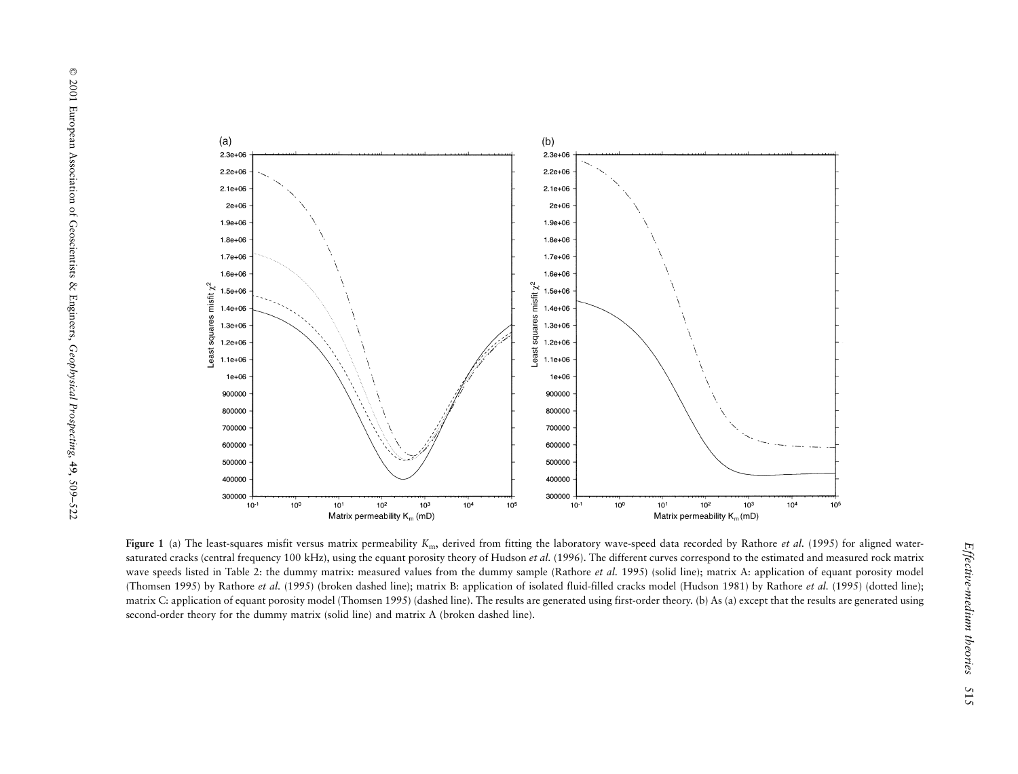

Figure 1 (a) The least-squares misfit versus matrix permeability  $K_{\rm m}$ , derived from fitting the laboratory wave-speed data recorded by Rathore *et al.* (1995) for aligned watersaturated cracks (central frequency 100 kHz), using the equant porosity theory of Hudson et al. (1996). The different curves correspond to the estimated and measured rock matrix wave speeds listed in Table 2: the dummy matrix: measured values from the dummy sample (Rathore et al. 1995) (solid line); matrix A: application of equant porosity model (Thomsen 1995) by Rathore et al. (1995) (broken dashed line); matrix B: application of isolated fluid-filled cracks model (Hudson 1981) by Rathore et al. (1995) (dotted line); matrix C: application of equan<sup>t</sup> porosity model (Thomsen 1995) (dashed line). The results are generated using first-order theory. (b) As (a) excep<sup>t</sup> that the results are generated using second-order theory for the dummy matrix (solid line) and matrix A (broken dashed line).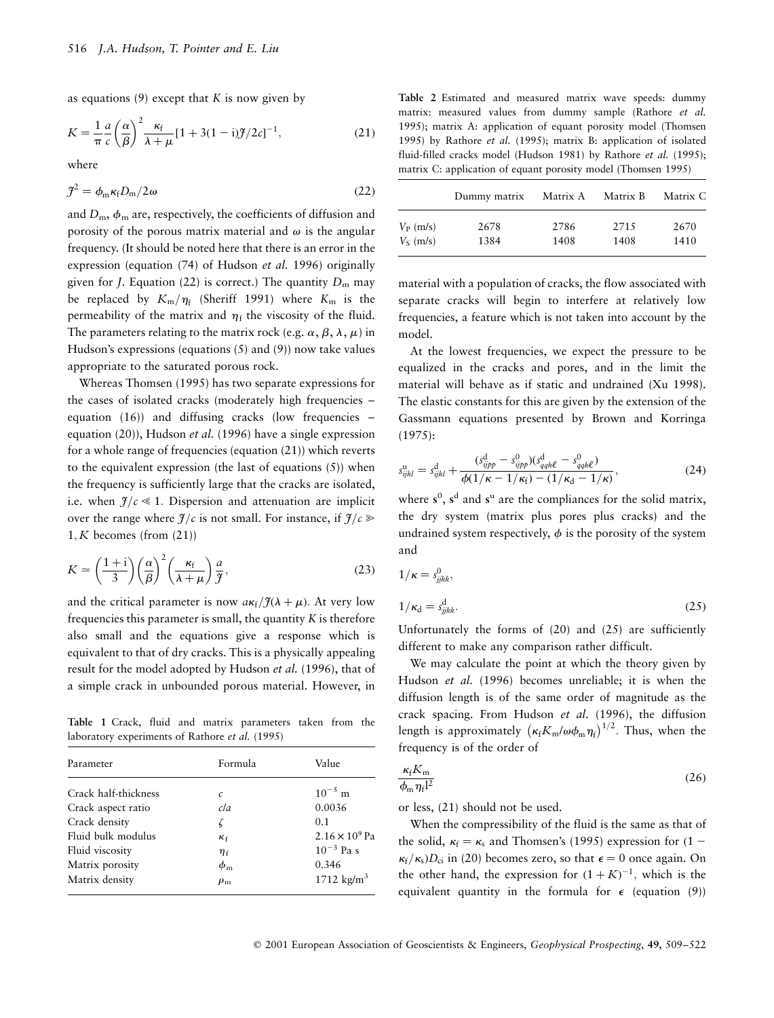as equations (9) except that  $K$  is now given by

$$
K = \frac{1}{\pi} \frac{a}{c} \left(\frac{\alpha}{\beta}\right)^2 \frac{\kappa_f}{\lambda + \mu} [1 + 3(1 - i)\mathcal{J}/2c]^{-1},\tag{21}
$$

where

$$
\mathcal{J}^2 = \phi_{\rm m} \kappa_{\rm f} D_{\rm m} / 2\omega \tag{22}
$$

and  $D_m$ ,  $\phi_m$  are, respectively, the coefficients of diffusion and porosity of the porous matrix material and  $\omega$  is the angular frequency. (It should be noted here that there is an error in the expression (equation (74) of Hudson et al. 1996) originally given for *J*. Equation (22) is correct.) The quantity  $D_m$  may be replaced by  $K_m/\eta_f$  (Sheriff 1991) where  $K_m$  is the permeability of the matrix and  $\eta_f$  the viscosity of the fluid. The parameters relating to the matrix rock (e.g.  $\alpha$ ,  $\beta$ ,  $\lambda$ ,  $\mu$ ) in Hudson's expressions (equations (5) and (9)) now take values appropriate to the saturated porous rock.

Whereas Thomsen (1995) has two separate expressions for the cases of isolated cracks (moderately high frequencies  $$ equation  $(16)$  and diffusing cracks (low frequencies  $\overline{\phantom{a}}$ equation (20)), Hudson et al. (1996) have a single expression for a whole range of frequencies (equation (21)) which reverts to the equivalent expression (the last of equations (5)) when the frequency is sufficiently large that the cracks are isolated, i.e. when  $f/c \ll 1$ . Dispersion and attenuation are implicit over the range where  $\mathfrak{F}/c$  is not small. For instance, if  $\mathfrak{F}/c \geqslant$  $1, K$  becomes (from  $(21)$ )

$$
K \simeq \left(\frac{1+i}{3}\right) \left(\frac{\alpha}{\beta}\right)^2 \left(\frac{\kappa_f}{\lambda+\mu}\right) \frac{a}{\mathcal{F}},\tag{23}
$$

and the critical parameter is now  $a\kappa_f/\tilde{J}(\lambda+\mu)$ . At very low frequencies this parameter is small, the quantity  $K$  is therefore also small and the equations give a response which is equivalent to that of dry cracks. This is a physically appealing result for the model adopted by Hudson et al. (1996), that of a simple crack in unbounded porous material. However, in

Table 1 Crack, fluid and matrix parameters taken from the laboratory experiments of Rathore et al. (1995)

| Parameter            | Formula        | Value                   |
|----------------------|----------------|-------------------------|
| Crack half-thickness | $\mathcal{C}$  | $10^{-5}$ m             |
| Crack aspect ratio   | cla            | 0.0036                  |
| Crack density        | ζ              | 0.1                     |
| Fluid bulk modulus   | $K_f$          | $2.16 \times 10^{9}$ Pa |
| Fluid viscosity      | $\eta_{\rm f}$ | $10^{-3}$ Pa s          |
| Matrix porosity      | $\phi_{\rm m}$ | 0.346                   |
| Matrix density       | $\rho_{\rm m}$ | 1712 $\text{kg/m}^3$    |

Table 2 Estimated and measured matrix wave speeds: dummy matrix: measured values from dummy sample (Rathore et al. 1995); matrix A: application of equant porosity model (Thomsen 1995) by Rathore et al. (1995); matrix B: application of isolated fluid-filled cracks model (Hudson 1981) by Rathore et al. (1995); matrix C: application of equant porosity model (Thomsen 1995)

|             | Dummy matrix | Matrix A | Matrix B | Matrix C |
|-------------|--------------|----------|----------|----------|
| $V_P$ (m/s) | 2678         | 2786     | 2715     | 2670     |
| $V_s$ (m/s) | 1384         | 1408     | 1408     | 1410     |

material with a population of cracks, the flow associated with separate cracks will begin to interfere at relatively low frequencies, a feature which is not taken into account by the model.

At the lowest frequencies, we expect the pressure to be equalized in the cracks and pores, and in the limit the material will behave as if static and undrained (Xu 1998). The elastic constants for this are given by the extension of the Gassmann equations presented by Brown and Korringa (1975):

$$
s_{ijkl}^{\rm u} = s_{ijkl}^{\rm d} + \frac{(s_{ijpp}^{\rm d} - s_{ijpp}^{\rm 0})(s_{qqk\ell}^{\rm d} - s_{qqk\ell}^{\rm 0})}{\phi(1/\kappa - 1/\kappa_{\rm f}) - (1/\kappa_{\rm d} - 1/\kappa)},
$$
(24)

where  $s^0$ ,  $s^d$  and  $s^u$  are the compliances for the solid matrix, the dry system (matrix plus pores plus cracks) and the undrained system respectively,  $\phi$  is the porosity of the system and

$$
1/\kappa = s_{jjkk}^0,
$$
  
\n
$$
1/\kappa_d = s_{jjkk}^d.
$$
\n(25)

Unfortunately the forms of (20) and (25) are sufficiently different to make any comparison rather difficult.

We may calculate the point at which the theory given by Hudson et al. (1996) becomes unreliable; it is when the diffusion length is of the same order of magnitude as the crack spacing. From Hudson et al. (1996), the diffusion length is approximately  $\left(\kappa_{\rm f} K_{\rm m} / \omega \phi_{\rm m} \eta_{\rm f}\right)^{1/2}$ . Thus, when the frequency is of the order of

$$
\frac{\kappa_{\rm f} K_{\rm m}}{\phi_{\rm m} \eta_{\rm f} l^2} \tag{26}
$$

or less, (21) should not be used.

When the compressibility of the fluid is the same as that of the solid,  $\kappa_f = \kappa_s$  and Thomsen's (1995) expression for (1 –  $\kappa_f/\kappa_s$ ) $D_{ci}$  in (20) becomes zero, so that  $\epsilon = 0$  once again. On the other hand, the expression for  $(1 + K)^{-1}$ , which is the equivalent quantity in the formula for  $\epsilon$  (equation (9))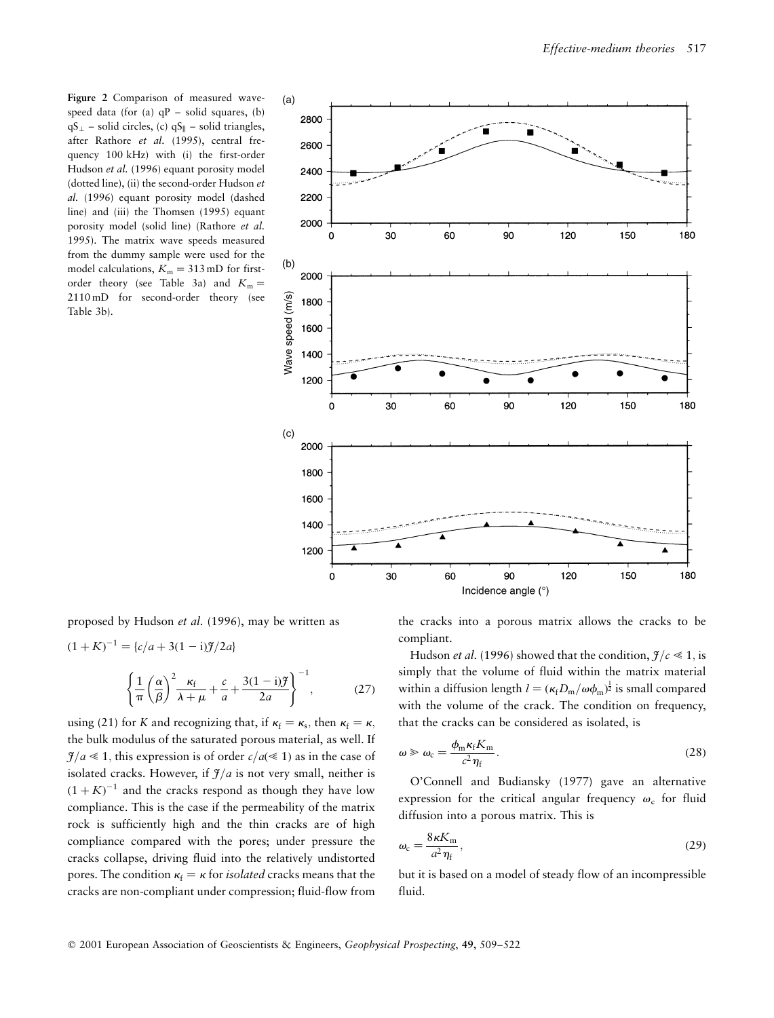Figure 2 Comparison of measured wavespeed data (for (a)  $qP$  – solid squares, (b)  $qS_{\perp}$  = solid circles, (c)  $qS_{\parallel}$  = solid triangles, after Rathore et al. (1995), central frequency 100 kHz) with (i) the first-order Hudson et al. (1996) equant porosity model (dotted line), (ii) the second-order Hudson et al. (1996) equant porosity model (dashed line) and (iii) the Thomsen (1995) equant porosity model (solid line) (Rathore et al. 1995). The matrix wave speeds measured from the dummy sample were used for the model calculations,  $K_m = 313$  mD for firstorder theory (see Table 3a) and  $K_m =$ 2110 mD for second-order theory (see Table 3b).



proposed by Hudson et al. (1996), may be written as

$$
(1 + K)^{-1} = \{c/a + 3(1 - i)\mathcal{J}/2a\}
$$

$$
\left\{\frac{1}{\pi}\left(\frac{\alpha}{\beta}\right)^2 \frac{\kappa_f}{\lambda+\mu} + \frac{c}{a} + \frac{3(1-i)\mathcal{J}}{2a}\right\}^{-1},\tag{27}
$$

using (21) for K and recognizing that, if  $\kappa_f = \kappa_s$ , then  $\kappa_f = \kappa$ , the bulk modulus of the saturated porous material, as well. If  $\mathcal{J}/a \ll 1$ , this expression is of order  $c/a \ll 1$ ) as in the case of isolated cracks. However, if  $\mathcal{J}/a$  is not very small, neither is  $(1 + K)^{-1}$  and the cracks respond as though they have low compliance. This is the case if the permeability of the matrix rock is sufficiently high and the thin cracks are of high compliance compared with the pores; under pressure the cracks collapse, driving fluid into the relatively undistorted pores. The condition  $\kappa_f = \kappa$  for *isolated* cracks means that the cracks are non-compliant under compression; fluid-flow from

the cracks into a porous matrix allows the cracks to be compliant.

Hudson *et al.* (1996) showed that the condition,  $f/c \le 1$ , is simply that the volume of fluid within the matrix material within a diffusion length  $l = (\kappa_f D_m/\omega \phi_m)^{\frac{1}{2}}$  is small compared with the volume of the crack. The condition on frequency, that the cracks can be considered as isolated, is

$$
\omega \geqslant \omega_{\rm c} = \frac{\phi_{\rm m} \kappa_{\rm f} K_{\rm m}}{c^2 \eta_{\rm f}}.
$$
\n(28)

O'Connell and Budiansky (1977) gave an alternative expression for the critical angular frequency  $\omega_c$  for fluid diffusion into a porous matrix. This is

$$
\omega_{\rm c} = \frac{8\kappa K_{\rm m}}{a^2 \eta_{\rm f}},\tag{29}
$$

but it is based on a model of steady flow of an incompressible fluid.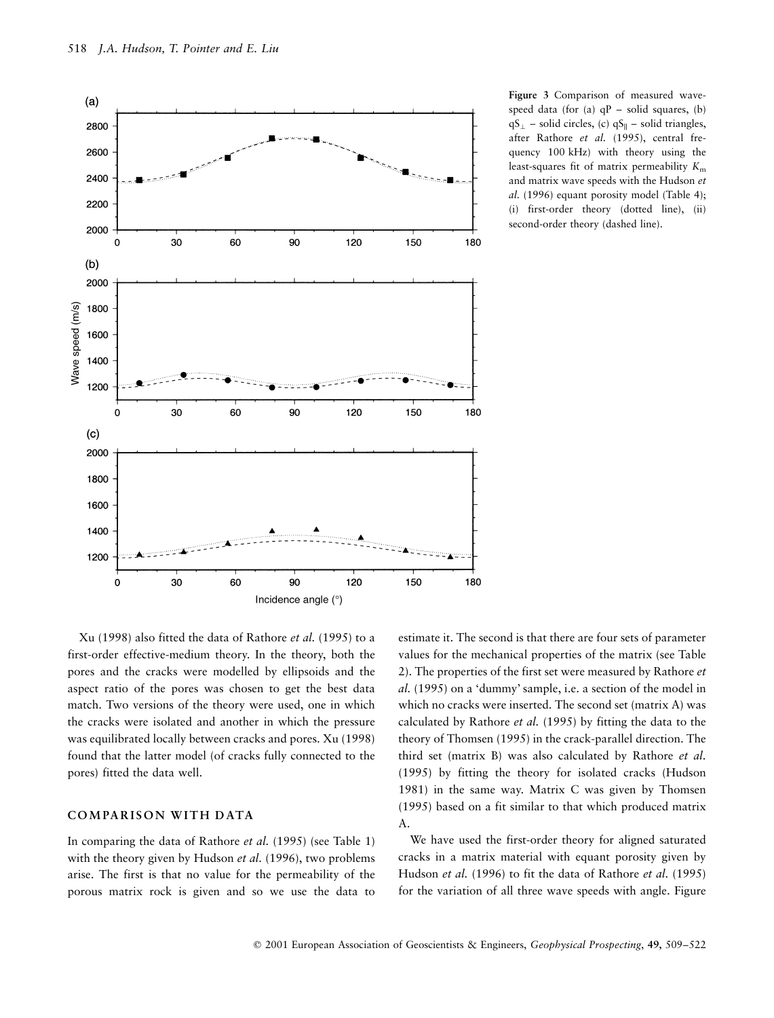

Figure 3 Comparison of measured wavespeed data (for (a)  $qP$  – solid squares, (b)  $qS_{\perp}$  = solid circles, (c)  $qS_{\parallel}$  = solid triangles, after Rathore et al. (1995), central frequency 100 kHz) with theory using the least-squares fit of matrix permeability  $K<sub>m</sub>$ and matrix wave speeds with the Hudson et al. (1996) equant porosity model (Table 4); (i) first-order theory (dotted line), (ii) second-order theory (dashed line).

Xu (1998) also fitted the data of Rathore et al. (1995) to a first-order effective-medium theory. In the theory, both the pores and the cracks were modelled by ellipsoids and the aspect ratio of the pores was chosen to get the best data match. Two versions of the theory were used, one in which the cracks were isolated and another in which the pressure was equilibrated locally between cracks and pores. Xu (1998) found that the latter model (of cracks fully connected to the pores) fitted the data well.

# COMPARISON WITH DATA

In comparing the data of Rathore et al. (1995) (see Table 1) with the theory given by Hudson et al. (1996), two problems arise. The first is that no value for the permeability of the porous matrix rock is given and so we use the data to estimate it. The second is that there are four sets of parameter values for the mechanical properties of the matrix (see Table 2). The properties of the first set were measured by Rathore et al. (1995) on a `dummy' sample, i.e. a section of the model in which no cracks were inserted. The second set (matrix A) was calculated by Rathore et al. (1995) by fitting the data to the theory of Thomsen (1995) in the crack-parallel direction. The third set (matrix B) was also calculated by Rathore et al. (1995) by fitting the theory for isolated cracks (Hudson 1981) in the same way. Matrix C was given by Thomsen (1995) based on a fit similar to that which produced matrix A.

We have used the first-order theory for aligned saturated cracks in a matrix material with equant porosity given by Hudson et al. (1996) to fit the data of Rathore et al. (1995) for the variation of all three wave speeds with angle. Figure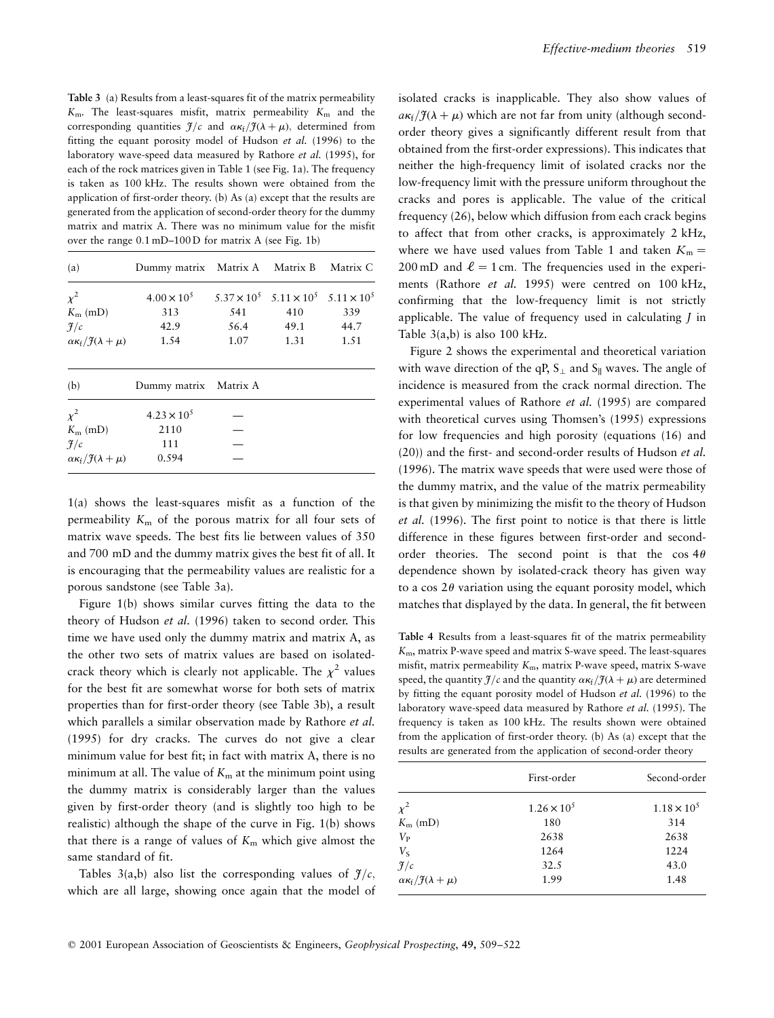Table 3 (a) Results from a least-squares fit of the matrix permeability  $K<sub>m</sub>$ . The least-squares misfit, matrix permeability  $K<sub>m</sub>$  and the corresponding quantities  $\mathcal{F}/c$  and  $\alpha \kappa_f/\mathcal{F}(\lambda + \mu)$ , determined from fitting the equant porosity model of Hudson et al. (1996) to the laboratory wave-speed data measured by Rathore et al. (1995), for each of the rock matrices given in Table 1 (see Fig. 1a). The frequency is taken as 100 kHz. The results shown were obtained from the application of first-order theory. (b) As (a) except that the results are generated from the application of second-order theory for the dummy matrix and matrix A. There was no minimum value for the misfit over the range  $0.1 \text{ mD} - 100 \text{ D}$  for matrix A (see Fig. 1b)

| (a)                                          | Dummy matrix Matrix A Matrix B Matrix C |      |                                                          |      |
|----------------------------------------------|-----------------------------------------|------|----------------------------------------------------------|------|
| $\chi^2$                                     | $4.00 \times 10^{5}$                    |      | $5.37 \times 10^5$ $5.11 \times 10^5$ $5.11 \times 10^5$ |      |
| $K_{\rm m}$ (mD)                             | 313                                     | 541  | 410                                                      | 339  |
| $\mathcal{J}/c$                              | 42.9                                    | 56.4 | 49.1                                                     | 44.7 |
| $\alpha \kappa_f / \tilde{f}(\lambda + \mu)$ | 1.54                                    | 1.07 | 1.31                                                     | 1.51 |
| (b)                                          | Dummy matrix Matrix A                   |      |                                                          |      |
| $\chi^2$                                     | $4.23 \times 10^{5}$                    |      |                                                          |      |
| $K_{\rm m}$ (mD)                             | 2110                                    |      |                                                          |      |
| $\mathcal{F}/c$                              | 111                                     |      |                                                          |      |
| $\alpha \kappa_f / \tilde{f}(\lambda + \mu)$ | 0.594                                   |      |                                                          |      |

1(a) shows the least-squares misfit as a function of the permeability  $K<sub>m</sub>$  of the porous matrix for all four sets of matrix wave speeds. The best fits lie between values of 350 and 700 mD and the dummy matrix gives the best fit of all. It is encouraging that the permeability values are realistic for a porous sandstone (see Table 3a).

Figure 1(b) shows similar curves fitting the data to the theory of Hudson et al. (1996) taken to second order. This time we have used only the dummy matrix and matrix A, as the other two sets of matrix values are based on isolatedcrack theory which is clearly not applicable. The  $\chi^2$  values for the best fit are somewhat worse for both sets of matrix properties than for first-order theory (see Table 3b), a result which parallels a similar observation made by Rathore et al. (1995) for dry cracks. The curves do not give a clear minimum value for best fit; in fact with matrix A, there is no minimum at all. The value of  $K<sub>m</sub>$  at the minimum point using the dummy matrix is considerably larger than the values given by first-order theory (and is slightly too high to be realistic) although the shape of the curve in Fig. 1(b) shows that there is a range of values of  $K<sub>m</sub>$  which give almost the same standard of fit.

Tables 3(a,b) also list the corresponding values of  $f/c$ , which are all large, showing once again that the model of isolated cracks is inapplicable. They also show values of  $a\kappa_f/\tilde{f}(\lambda+\mu)$  which are not far from unity (although secondorder theory gives a significantly different result from that obtained from the first-order expressions). This indicates that neither the high-frequency limit of isolated cracks nor the low-frequency limit with the pressure uniform throughout the cracks and pores is applicable. The value of the critical frequency (26), below which diffusion from each crack begins to affect that from other cracks, is approximately 2 kHz, where we have used values from Table 1 and taken  $K_m =$ 200 mD and  $\ell = 1$  cm. The frequencies used in the experiments (Rathore et al. 1995) were centred on 100 kHz, confirming that the low-frequency limit is not strictly applicable. The value of frequency used in calculating J in Table  $3(a,b)$  is also 100 kHz.

Figure 2 shows the experimental and theoretical variation with wave direction of the qP,  $S_{\perp}$  and  $S_{\parallel}$  waves. The angle of incidence is measured from the crack normal direction. The experimental values of Rathore et al. (1995) are compared with theoretical curves using Thomsen's (1995) expressions for low frequencies and high porosity (equations (16) and (20)) and the first- and second-order results of Hudson et al. (1996). The matrix wave speeds that were used were those of the dummy matrix, and the value of the matrix permeability is that given by minimizing the misfit to the theory of Hudson et al. (1996). The first point to notice is that there is little difference in these figures between first-order and secondorder theories. The second point is that the  $\cos 4\theta$ dependence shown by isolated-crack theory has given way to a cos  $2\theta$  variation using the equant porosity model, which matches that displayed by the data. In general, the fit between

Table 4 Results from a least-squares fit of the matrix permeability  $K<sub>m</sub>$ , matrix P-wave speed and matrix S-wave speed. The least-squares misfit, matrix permeability  $K<sub>m</sub>$ , matrix P-wave speed, matrix S-wave speed, the quantity  $\frac{\gamma}{c}$  and the quantity  $\alpha \kappa_f / \frac{\gamma(\lambda + \mu)}{c}$  are determined by fitting the equant porosity model of Hudson et al. (1996) to the laboratory wave-speed data measured by Rathore et al. (1995). The frequency is taken as 100 kHz. The results shown were obtained from the application of first-order theory. (b) As (a) except that the results are generated from the application of second-order theory

|                                                | First-order          | Second-order         |
|------------------------------------------------|----------------------|----------------------|
| $\chi^2$                                       | $1.26 \times 10^{5}$ | $1.18 \times 10^{5}$ |
| $K_{\rm m}$ (mD)                               | 180                  | 314                  |
| $V_{\rm P}$                                    | 2638                 | 2638                 |
| $V_{\rm S}$                                    | 1264                 | 1224                 |
| $\mathcal{J}/c$                                | 32.5                 | 43.0                 |
| $\alpha \kappa_f / \mathcal{J}(\lambda + \mu)$ | 1.99                 | 1.48                 |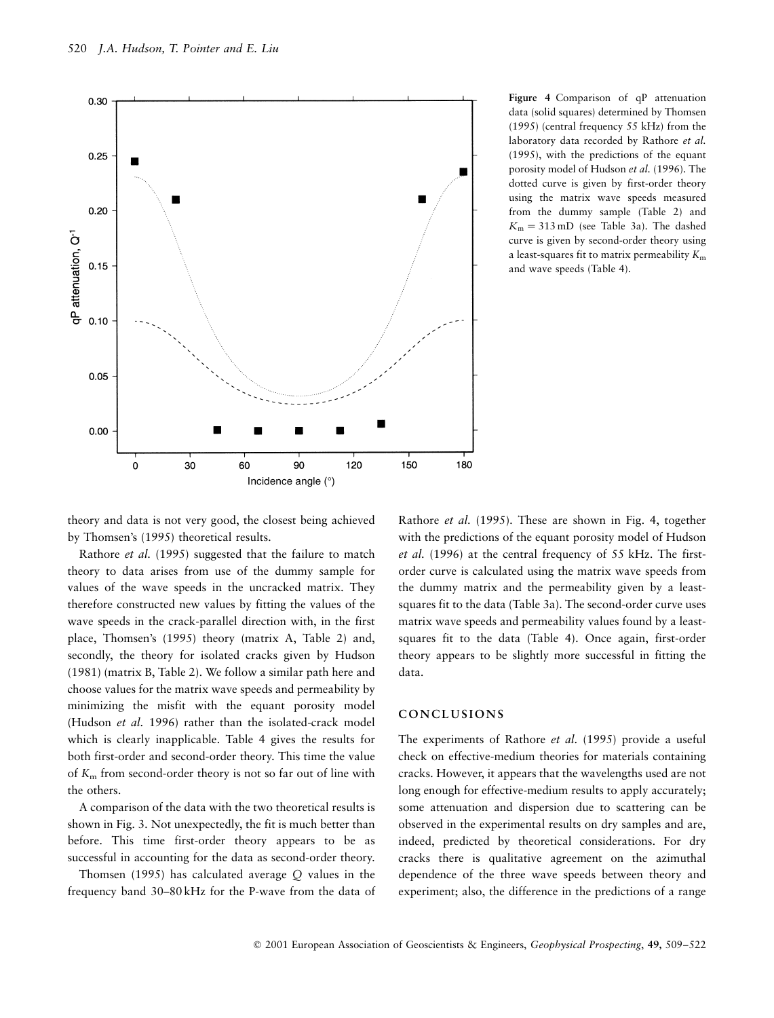

Figure 4 Comparison of qP attenuation data (solid squares) determined by Thomsen (1995) (central frequency 55 kHz) from the laboratory data recorded by Rathore et al. (1995), with the predictions of the equant porosity model of Hudson et al. (1996). The dotted curve is given by first-order theory using the matrix wave speeds measured from the dummy sample (Table 2) and  $K_m = 313 \text{ mD}$  (see Table 3a). The dashed curve is given by second-order theory using a least-squares fit to matrix permeability  $K<sub>m</sub>$ and wave speeds (Table 4).

theory and data is not very good, the closest being achieved by Thomsen's (1995) theoretical results.

Rathore et al. (1995) suggested that the failure to match theory to data arises from use of the dummy sample for values of the wave speeds in the uncracked matrix. They therefore constructed new values by fitting the values of the wave speeds in the crack-parallel direction with, in the first place, Thomsen's (1995) theory (matrix A, Table 2) and, secondly, the theory for isolated cracks given by Hudson (1981) (matrix B, Table 2). We follow a similar path here and choose values for the matrix wave speeds and permeability by minimizing the misfit with the equant porosity model (Hudson et al. 1996) rather than the isolated-crack model which is clearly inapplicable. Table 4 gives the results for both first-order and second-order theory. This time the value of  $K<sub>m</sub>$  from second-order theory is not so far out of line with the others.

A comparison of the data with the two theoretical results is shown in Fig. 3. Not unexpectedly, the fit is much better than before. This time first-order theory appears to be as successful in accounting for the data as second-order theory.

Thomsen (1995) has calculated average Q values in the frequency band 30–80 kHz for the P-wave from the data of

Rathore et al. (1995). These are shown in Fig. 4, together with the predictions of the equant porosity model of Hudson et al. (1996) at the central frequency of 55 kHz. The firstorder curve is calculated using the matrix wave speeds from the dummy matrix and the permeability given by a leastsquares fit to the data (Table 3a). The second-order curve uses matrix wave speeds and permeability values found by a leastsquares fit to the data (Table 4). Once again, first-order theory appears to be slightly more successful in fitting the data.

## CONCLUSIONS

The experiments of Rathore et al. (1995) provide a useful check on effective-medium theories for materials containing cracks. However, it appears that the wavelengths used are not long enough for effective-medium results to apply accurately; some attenuation and dispersion due to scattering can be observed in the experimental results on dry samples and are, indeed, predicted by theoretical considerations. For dry cracks there is qualitative agreement on the azimuthal dependence of the three wave speeds between theory and experiment; also, the difference in the predictions of a range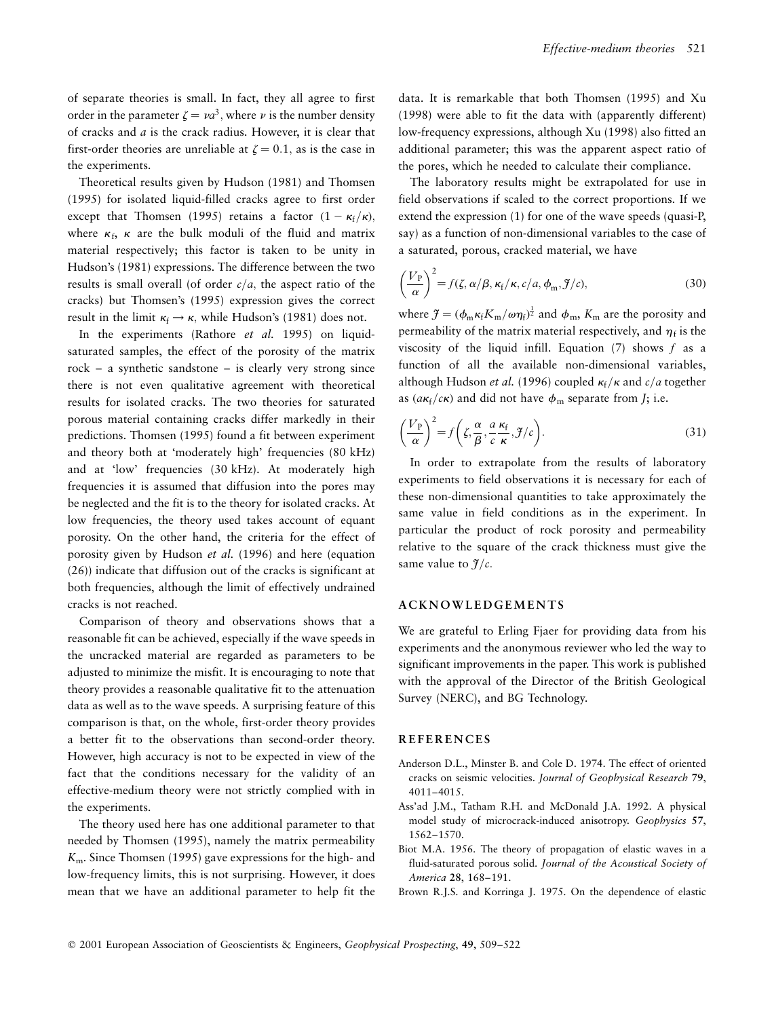of separate theories is small. In fact, they all agree to first order in the parameter  $\zeta = \nu a^3$ , where v is the number density of cracks and  $a$  is the crack radius. However, it is clear that first-order theories are unreliable at  $\zeta = 0.1$ , as is the case in the experiments.

Theoretical results given by Hudson (1981) and Thomsen (1995) for isolated liquid-filled cracks agree to first order except that Thomsen (1995) retains a factor  $(1 - \kappa_f/\kappa)$ , where  $\kappa_f$ ,  $\kappa$  are the bulk moduli of the fluid and matrix material respectively; this factor is taken to be unity in Hudson's (1981) expressions. The difference between the two results is small overall (of order  $c/a$ , the aspect ratio of the cracks) but Thomsen's (1995) expression gives the correct result in the limit  $\kappa_f \rightarrow \kappa$ , while Hudson's (1981) does not.

In the experiments (Rathore et al. 1995) on liquidsaturated samples, the effect of the porosity of the matrix  $rock - a synthetic sandstone - is clearly very strong since$ there is not even qualitative agreement with theoretical results for isolated cracks. The two theories for saturated porous material containing cracks differ markedly in their predictions. Thomsen (1995) found a fit between experiment and theory both at 'moderately high' frequencies (80 kHz) and at 'low' frequencies (30 kHz). At moderately high frequencies it is assumed that diffusion into the pores may be neglected and the fit is to the theory for isolated cracks. At low frequencies, the theory used takes account of equant porosity. On the other hand, the criteria for the effect of porosity given by Hudson et al. (1996) and here (equation (26)) indicate that diffusion out of the cracks is significant at both frequencies, although the limit of effectively undrained cracks is not reached.

Comparison of theory and observations shows that a reasonable fit can be achieved, especially if the wave speeds in the uncracked material are regarded as parameters to be adjusted to minimize the misfit. It is encouraging to note that theory provides a reasonable qualitative fit to the attenuation data as well as to the wave speeds. A surprising feature of this comparison is that, on the whole, first-order theory provides a better fit to the observations than second-order theory. However, high accuracy is not to be expected in view of the fact that the conditions necessary for the validity of an effective-medium theory were not strictly complied with in the experiments.

The theory used here has one additional parameter to that needed by Thomsen (1995), namely the matrix permeability Km. Since Thomsen (1995) gave expressions for the high- and low-frequency limits, this is not surprising. However, it does mean that we have an additional parameter to help fit the data. It is remarkable that both Thomsen (1995) and Xu (1998) were able to fit the data with (apparently different) low-frequency expressions, although Xu (1998) also fitted an additional parameter; this was the apparent aspect ratio of the pores, which he needed to calculate their compliance.

The laboratory results might be extrapolated for use in field observations if scaled to the correct proportions. If we extend the expression (1) for one of the wave speeds (quasi-P, say) as a function of non-dimensional variables to the case of a saturated, porous, cracked material, we have

$$
\left(\frac{V_{\rm P}}{\alpha}\right)^2 = f(\zeta, \alpha/\beta, \kappa_{\rm f}/\kappa, c/a, \phi_{\rm m}, \mathcal{J}/c),\tag{30}
$$

where  $\mathfrak{H} = (\phi_{\rm m} \kappa_{\rm f} K_{\rm m}/\omega \eta_{\rm f})^{\frac{1}{2}}$  and  $\phi_{\rm m}$ ,  $K_{\rm m}$  are the porosity and permeability of the matrix material respectively, and  $\eta_f$  is the viscosity of the liquid infill. Equation  $(7)$  shows  $f$  as a function of all the available non-dimensional variables, although Hudson et al. (1996) coupled  $\kappa_f/\kappa$  and  $c/a$  together as  $(a\kappa_f/c\kappa)$  and did not have  $\phi_m$  separate from *J*; i.e.

$$
\left(\frac{V_{\rm P}}{\alpha}\right)^2 = f\left(\zeta, \frac{\alpha}{\beta}, \frac{a}{c} \frac{\kappa_{\rm f}}{\kappa}, \mathcal{F}/c\right). \tag{31}
$$

In order to extrapolate from the results of laboratory experiments to field observations it is necessary for each of these non-dimensional quantities to take approximately the same value in field conditions as in the experiment. In particular the product of rock porosity and permeability relative to the square of the crack thickness must give the same value to  $f/c$ .

#### ACKNOWLEDGEMENTS

We are grateful to Erling Fjaer for providing data from his experiments and the anonymous reviewer who led the way to significant improvements in the paper. This work is published with the approval of the Director of the British Geological Survey (NERC), and BG Technology.

## **REFERENCES**

- Anderson D.L., Minster B. and Cole D. 1974. The effect of oriented cracks on seismic velocities. Journal of Geophysical Research 79, 4011±4015.
- Ass'ad J.M., Tatham R.H. and McDonald J.A. 1992. A physical model study of microcrack-induced anisotropy. Geophysics 57, 1562±1570.
- Biot M.A. 1956. The theory of propagation of elastic waves in a fluid-saturated porous solid. Journal of the Acoustical Society of America 28, 168-191.
- Brown R.J.S. and Korringa J. 1975. On the dependence of elastic